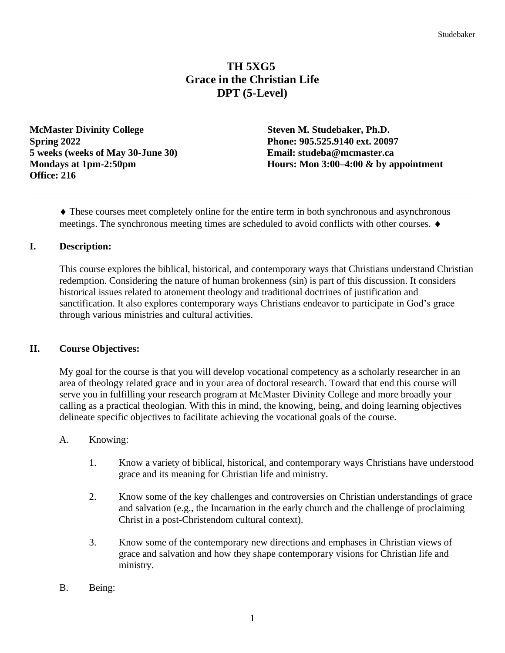# **TH 5XG5 Grace in the Christian Life DPT (5-Level)**

**McMaster Divinity College Steven M. Studebaker, Ph.D. Spring 2022 Phone: 905.525.9140 ext. 20097 5 weeks (weeks of May 30-June 30) Email: studeba@mcmaster.ca Office: 216**

**Mondays at 1pm-2:50pm Hours: Mon 3:00–4:00 & by appointment**

 These courses meet completely online for the entire term in both synchronous and asynchronous meetings. The synchronous meeting times are scheduled to avoid conflicts with other courses.

## **I. Description:**

This course explores the biblical, historical, and contemporary ways that Christians understand Christian redemption. Considering the nature of human brokenness (sin) is part of this discussion. It considers historical issues related to atonement theology and traditional doctrines of justification and sanctification. It also explores contemporary ways Christians endeavor to participate in God's grace through various ministries and cultural activities.

## **II. Course Objectives:**

My goal for the course is that you will develop vocational competency as a scholarly researcher in an area of theology related grace and in your area of doctoral research. Toward that end this course will serve you in fulfilling your research program at McMaster Divinity College and more broadly your calling as a practical theologian. With this in mind, the knowing, being, and doing learning objectives delineate specific objectives to facilitate achieving the vocational goals of the course.

## A. Knowing:

- 1. Know a variety of biblical, historical, and contemporary ways Christians have understood grace and its meaning for Christian life and ministry.
- 2. Know some of the key challenges and controversies on Christian understandings of grace and salvation (e.g., the Incarnation in the early church and the challenge of proclaiming Christ in a post-Christendom cultural context).
- 3. Know some of the contemporary new directions and emphases in Christian views of grace and salvation and how they shape contemporary visions for Christian life and ministry.
- B. Being: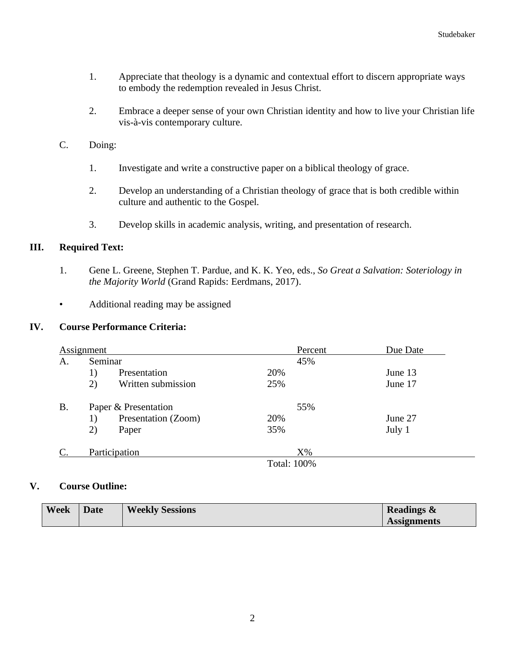- 1. Appreciate that theology is a dynamic and contextual effort to discern appropriate ways to embody the redemption revealed in Jesus Christ.
- 2. Embrace a deeper sense of your own Christian identity and how to live your Christian life vis-à-vis contemporary culture.
- C. Doing:
	- 1. Investigate and write a constructive paper on a biblical theology of grace.
	- 2. Develop an understanding of a Christian theology of grace that is both credible within culture and authentic to the Gospel.
	- 3. Develop skills in academic analysis, writing, and presentation of research.

## **III. Required Text:**

- 1. Gene L. Greene, Stephen T. Pardue, and K. K. Yeo, eds., *So Great a Salvation: Soteriology in the Majority World* (Grand Rapids: Eerdmans, 2017).
- Additional reading may be assigned

## **IV. Course Performance Criteria:**

| Assignment |                      |                     |                | Percent | Due Date |
|------------|----------------------|---------------------|----------------|---------|----------|
| А.         | Seminar              |                     |                | 45%     |          |
|            | 1)                   | Presentation        | 20%            |         | June 13  |
|            | 2)                   | Written submission  | 25%            |         | June 17  |
| <b>B.</b>  | Paper & Presentation |                     |                | 55%     |          |
|            | 1)                   | Presentation (Zoom) | 20%            |         | June 27  |
|            | 2)                   | Paper               | 35%            |         | July 1   |
| C.         | Participation        |                     |                | $X\%$   |          |
|            |                      |                     | $T$ $(1.1000)$ |         |          |

Total: 100%

### **V. Course Outline:**

| <b>Week</b> | <b>Date</b> | <b>Weekly Sessions</b> | <b>Readings &amp;</b> |
|-------------|-------------|------------------------|-----------------------|
|             |             |                        | <b>Assignments</b>    |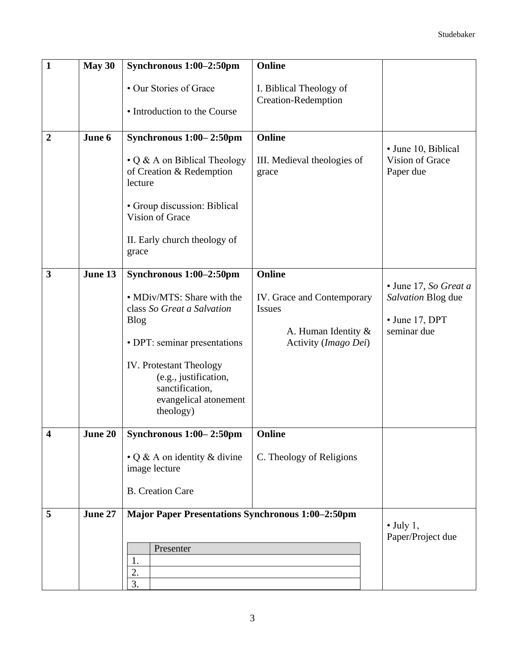| $\mathbf{1}$   | May 30  | Synchronous 1:00-2:50pm                                                                                          | Online                                                |                                                     |
|----------------|---------|------------------------------------------------------------------------------------------------------------------|-------------------------------------------------------|-----------------------------------------------------|
|                |         | • Our Stories of Grace                                                                                           | I. Biblical Theology of<br><b>Creation-Redemption</b> |                                                     |
|                |         | • Introduction to the Course                                                                                     |                                                       |                                                     |
| $\overline{2}$ | June 6  | Synchronous 1:00-2:50pm                                                                                          | <b>Online</b>                                         |                                                     |
|                |         | $\cdot$ Q & A on Biblical Theology<br>of Creation & Redemption<br>lecture                                        | III. Medieval theologies of<br>grace                  | • June 10, Biblical<br>Vision of Grace<br>Paper due |
|                |         | • Group discussion: Biblical<br>Vision of Grace                                                                  |                                                       |                                                     |
|                |         | II. Early church theology of<br>grace                                                                            |                                                       |                                                     |
| 3              | June 13 | Synchronous 1:00-2:50pm                                                                                          | Online                                                |                                                     |
|                |         | • MDiv/MTS: Share with the                                                                                       | IV. Grace and Contemporary                            | • June 17, So Great a<br>Salvation Blog due         |
|                |         | class So Great a Salvation<br><b>Blog</b>                                                                        | Issues                                                | $\bullet$ June 17, DPT                              |
|                |         | • DPT: seminar presentations                                                                                     | A. Human Identity $\&$<br>Activity (Imago Dei)        | seminar due                                         |
|                |         | <b>IV.</b> Protestant Theology<br>(e.g., justification,<br>sanctification,<br>evangelical atonement<br>theology) |                                                       |                                                     |
| 4              | June 20 | Synchronous 1:00-2:50pm                                                                                          | Online                                                |                                                     |
|                |         | $\cdot$ Q & A on identity & divine<br>image lecture                                                              | C. Theology of Religions                              |                                                     |
|                |         | <b>B.</b> Creation Care                                                                                          |                                                       |                                                     |
| 5              | June 27 | <b>Major Paper Presentations Synchronous 1:00-2:50pm</b>                                                         |                                                       | $\bullet$ July 1,<br>Paper/Project due              |
|                |         | Presenter                                                                                                        |                                                       |                                                     |
|                |         | 1.<br>2.                                                                                                         |                                                       |                                                     |
|                |         | 3.                                                                                                               |                                                       |                                                     |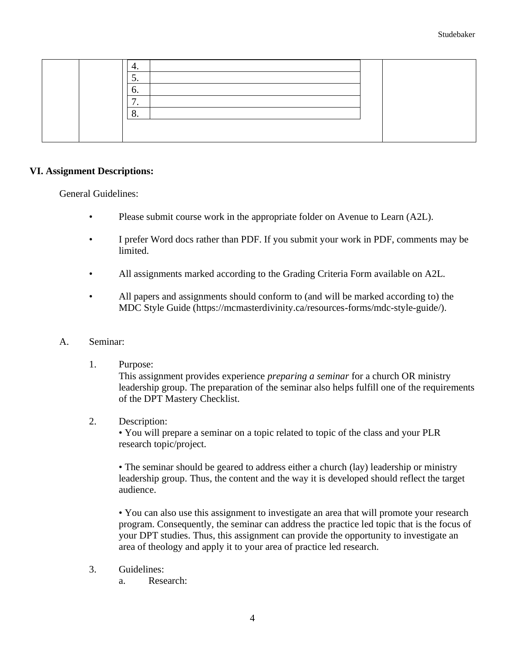| т.  |
|-----|
| J.  |
| O.  |
| . . |
| o.  |
|     |
|     |

### **VI. Assignment Descriptions:**

General Guidelines:

- Please submit course work in the appropriate folder on Avenue to Learn (A2L).
- I prefer Word docs rather than PDF. If you submit your work in PDF, comments may be limited.
- All assignments marked according to the Grading Criteria Form available on A2L.
- All papers and assignments should conform to (and will be marked according to) the MDC Style Guide (https://mcmasterdivinity.ca/resources-forms/mdc-style-guide/).
- A. Seminar:
	- 1. Purpose:

This assignment provides experience *preparing a seminar* for a church OR ministry leadership group. The preparation of the seminar also helps fulfill one of the requirements of the DPT Mastery Checklist.

2. Description:

• You will prepare a seminar on a topic related to topic of the class and your PLR research topic/project.

• The seminar should be geared to address either a church (lay) leadership or ministry leadership group. Thus, the content and the way it is developed should reflect the target audience.

• You can also use this assignment to investigate an area that will promote your research program. Consequently, the seminar can address the practice led topic that is the focus of your DPT studies. Thus, this assignment can provide the opportunity to investigate an area of theology and apply it to your area of practice led research.

- 3. Guidelines:
	- a. Research: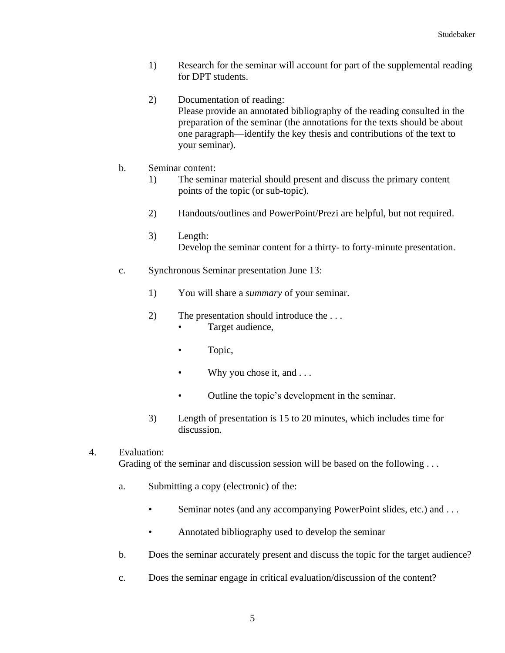- 1) Research for the seminar will account for part of the supplemental reading for DPT students.
- 2) Documentation of reading: Please provide an annotated bibliography of the reading consulted in the preparation of the seminar (the annotations for the texts should be about one paragraph—identify the key thesis and contributions of the text to your seminar).
- b. Seminar content:
	- 1) The seminar material should present and discuss the primary content points of the topic (or sub-topic).
	- 2) Handouts/outlines and PowerPoint/Prezi are helpful, but not required.
	- 3) Length: Develop the seminar content for a thirty- to forty-minute presentation.
- c. Synchronous Seminar presentation June 13:
	- 1) You will share a *summary* of your seminar.
	- 2) The presentation should introduce the . . . • Target audience,
		- Topic,
		- Why you chose it, and ...
		- Outline the topic's development in the seminar.
	- 3) Length of presentation is 15 to 20 minutes, which includes time for discussion.
- 4. Evaluation: Grading of the seminar and discussion session will be based on the following ...
	- a. Submitting a copy (electronic) of the:
		- Seminar notes (and any accompanying PowerPoint slides, etc.) and . . .
		- Annotated bibliography used to develop the seminar
	- b. Does the seminar accurately present and discuss the topic for the target audience?
	- c. Does the seminar engage in critical evaluation/discussion of the content?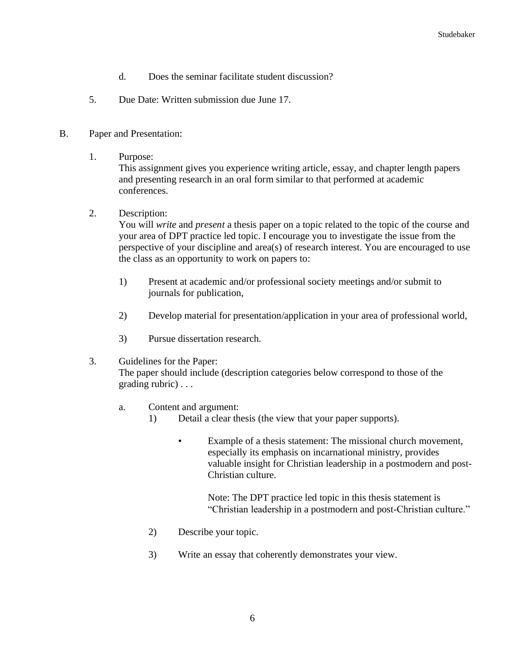- d. Does the seminar facilitate student discussion?
- 5. Due Date: Written submission due June 17.

### B. Paper and Presentation:

1. Purpose:

This assignment gives you experience writing article, essay, and chapter length papers and presenting research in an oral form similar to that performed at academic conferences.

2. Description:

You will *write* and *present* a thesis paper on a topic related to the topic of the course and your area of DPT practice led topic. I encourage you to investigate the issue from the perspective of your discipline and area(s) of research interest. You are encouraged to use the class as an opportunity to work on papers to:

- 1) Present at academic and/or professional society meetings and/or submit to journals for publication,
- 2) Develop material for presentation/application in your area of professional world,
- 3) Pursue dissertation research.

#### 3. Guidelines for the Paper:

The paper should include (description categories below correspond to those of the grading rubric) . . .

- a. Content and argument:
	- 1) Detail a clear thesis (the view that your paper supports).
		- Example of a thesis statement: The missional church movement, especially its emphasis on incarnational ministry, provides valuable insight for Christian leadership in a postmodern and post-Christian culture.

Note: The DPT practice led topic in this thesis statement is "Christian leadership in a postmodern and post-Christian culture."

- 2) Describe your topic.
- 3) Write an essay that coherently demonstrates your view.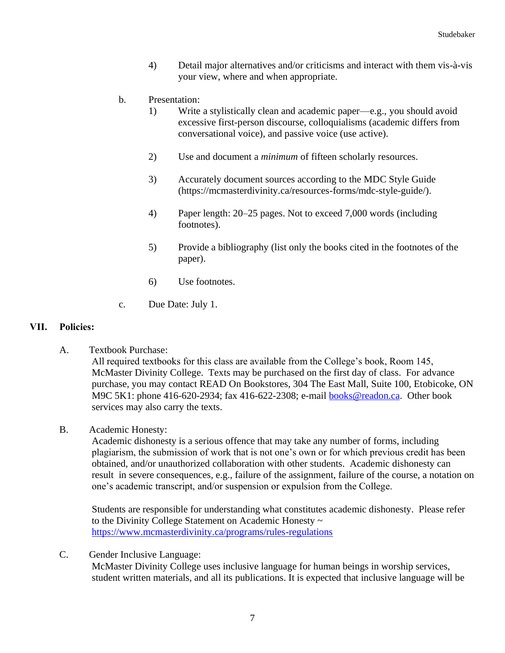- 4) Detail major alternatives and/or criticisms and interact with them vis-à-vis your view, where and when appropriate.
- b. Presentation:
	- 1) Write a stylistically clean and academic paper—e.g., you should avoid excessive first-person discourse, colloquialisms (academic differs from conversational voice), and passive voice (use active).
	- 2) Use and document a *minimum* of fifteen scholarly resources.
	- 3) Accurately document sources according to the MDC Style Guide (https://mcmasterdivinity.ca/resources-forms/mdc-style-guide/).
	- 4) Paper length: 20–25 pages. Not to exceed 7,000 words (including footnotes).
	- 5) Provide a bibliography (list only the books cited in the footnotes of the paper).
	- 6) Use footnotes.
- c. Due Date: July 1.

## **VII. Policies:**

A. Textbook Purchase:

All required textbooks for this class are available from the College's book, Room 145, McMaster Divinity College. Texts may be purchased on the first day of class. For advance purchase, you may contact READ On Bookstores, 304 The East Mall, Suite 100, Etobicoke, ON M9C 5K1: phone 416-620-2934; fax 416-622-2308; e-mail [books@readon.ca.](mailto:books@readon.ca) Other book services may also carry the texts.

B. Academic Honesty:

Academic dishonesty is a serious offence that may take any number of forms, including plagiarism, the submission of work that is not one's own or for which previous credit has been obtained, and/or unauthorized collaboration with other students. Academic dishonesty can result in severe consequences, e.g., failure of the assignment, failure of the course, a notation on one's academic transcript, and/or suspension or expulsion from the College.

Students are responsible for understanding what constitutes academic dishonesty. Please refer to the Divinity College Statement on Academic Honesty ~ <https://www.mcmasterdivinity.ca/programs/rules-regulations>

C. Gender Inclusive Language:

McMaster Divinity College uses inclusive language for human beings in worship services, student written materials, and all its publications. It is expected that inclusive language will be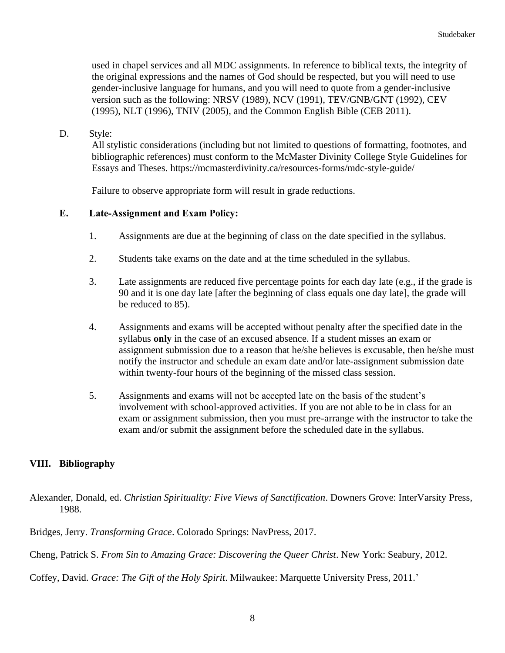used in chapel services and all MDC assignments. In reference to biblical texts, the integrity of the original expressions and the names of God should be respected, but you will need to use gender-inclusive language for humans, and you will need to quote from a gender-inclusive version such as the following: NRSV (1989), NCV (1991), TEV/GNB/GNT (1992), CEV (1995), NLT (1996), TNIV (2005), and the Common English Bible (CEB 2011).

D. Style:

All stylistic considerations (including but not limited to questions of formatting, footnotes, and bibliographic references) must conform to the McMaster Divinity College Style Guidelines for Essays and Theses. https://mcmasterdivinity.ca/resources-forms/mdc-style-guide/

Failure to observe appropriate form will result in grade reductions.

## **E. Late-Assignment and Exam Policy:**

- 1. Assignments are due at the beginning of class on the date specified in the syllabus.
- 2. Students take exams on the date and at the time scheduled in the syllabus.
- 3. Late assignments are reduced five percentage points for each day late (e.g., if the grade is 90 and it is one day late [after the beginning of class equals one day late], the grade will be reduced to 85).
- 4. Assignments and exams will be accepted without penalty after the specified date in the syllabus **only** in the case of an excused absence. If a student misses an exam or assignment submission due to a reason that he/she believes is excusable, then he/she must notify the instructor and schedule an exam date and/or late-assignment submission date within twenty-four hours of the beginning of the missed class session.
- 5. Assignments and exams will not be accepted late on the basis of the student's involvement with school-approved activities. If you are not able to be in class for an exam or assignment submission, then you must pre-arrange with the instructor to take the exam and/or submit the assignment before the scheduled date in the syllabus.

## **VIII. Bibliography**

- Alexander, Donald, ed. *Christian Spirituality: Five Views of Sanctification*. Downers Grove: InterVarsity Press, 1988.
- Bridges, Jerry. *Transforming Grace*. Colorado Springs: NavPress, 2017.

Cheng, Patrick S. *From Sin to Amazing Grace: Discovering the Queer Christ*. New York: Seabury, 2012.

Coffey, David. *Grace: The Gift of the Holy Spirit*. Milwaukee: Marquette University Press, 2011.'